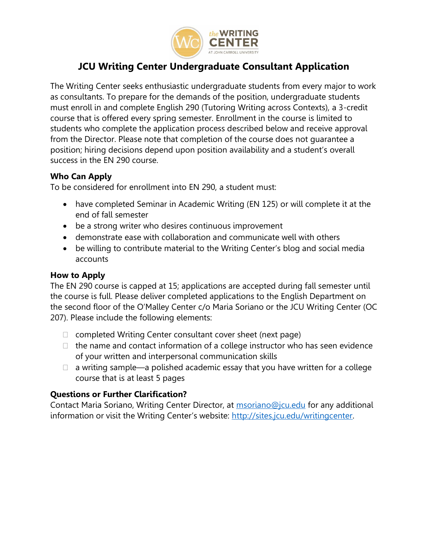

# **JCU Writing Center Undergraduate Consultant Application**

The Writing Center seeks enthusiastic undergraduate students from every major to work as consultants. To prepare for the demands of the position, undergraduate students must enroll in and complete English 290 (Tutoring Writing across Contexts), a 3-credit course that is offered every spring semester. Enrollment in the course is limited to students who complete the application process described below and receive approval from the Director. Please note that completion of the course does not guarantee a position; hiring decisions depend upon position availability and a student's overall success in the EN 290 course.

### **Who Can Apply**

To be considered for enrollment into EN 290, a student must:

- have completed Seminar in Academic Writing (EN 125) or will complete it at the end of fall semester
- be a strong writer who desires continuous improvement
- demonstrate ease with collaboration and communicate well with others
- be willing to contribute material to the Writing Center's blog and social media accounts

## **How to Apply**

The EN 290 course is capped at 15; applications are accepted during fall semester until the course is full. Please deliver completed applications to the English Department on the second floor of the O'Malley Center c/o Maria Soriano or the JCU Writing Center (OC 207). Please include the following elements:

- $\Box$  completed Writing Center consultant cover sheet (next page)
- $\Box$  the name and contact information of a college instructor who has seen evidence of your written and interpersonal communication skills
- $\Box$  a writing sample—a polished academic essay that you have written for a college course that is at least 5 pages

## **Questions or Further Clarification?**

Contact Maria Soriano, Writing Center Director, at **[msoriano@jcu.edu](mailto:msoriano@jcu.edu)** for any additional information or visit the Writing Center's website: [http://sites.jcu.edu/writingcenter.](http://sites.jcu.edu/writingcenter)